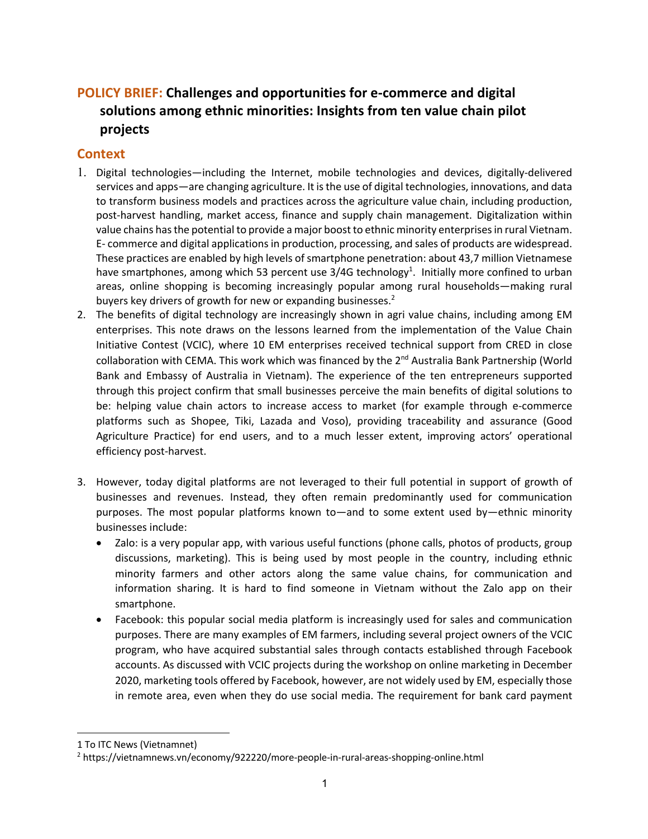# **POLICY BRIEF: Challenges and opportunities for e-commerce and digital solutions among ethnic minorities: Insights from ten value chain pilot projects**

### **Context**

- 1. Digital technologies—including the Internet, mobile technologies and devices, digitally-delivered services and apps—are changing agriculture. It is the use of digital technologies, innovations, and data to transform business models and practices across the agriculture value chain, including production, post-harvest handling, market access, finance and supply chain management. Digitalization within value chains has the potential to provide a major boost to ethnic minority enterprises in rural Vietnam. E- commerce and digital applications in production, processing, and sales of products are widespread. These practices are enabled by high levels of smartphone penetration: about 43,7 million Vietnamese have smartphones, among which 53 percent use  $3/4G$  technology<sup>1</sup>. Initially more confined to urban areas, online shopping is becoming increasingly popular among rural households—making rural buyers key drivers of growth for new or expanding businesses.<sup>2</sup>
- 2. The benefits of digital technology are increasingly shown in agri value chains, including among EM enterprises. This note draws on the lessons learned from the implementation of the Value Chain Initiative Contest (VCIC), where 10 EM enterprises received technical support from CRED in close collaboration with CEMA. This work which was financed by the 2<sup>nd</sup> Australia Bank Partnership (World Bank and Embassy of Australia in Vietnam). The experience of the ten entrepreneurs supported through this project confirm that small businesses perceive the main benefits of digital solutions to be: helping value chain actors to increase access to market (for example through e-commerce platforms such as Shopee, Tiki, Lazada and Voso), providing traceability and assurance (Good Agriculture Practice) for end users, and to a much lesser extent, improving actors' operational efficiency post-harvest.
- 3. However, today digital platforms are not leveraged to their full potential in support of growth of businesses and revenues. Instead, they often remain predominantly used for communication purposes. The most popular platforms known to—and to some extent used by—ethnic minority businesses include:
	- Zalo: is a very popular app, with various useful functions (phone calls, photos of products, group discussions, marketing). This is being used by most people in the country, including ethnic minority farmers and other actors along the same value chains, for communication and information sharing. It is hard to find someone in Vietnam without the Zalo app on their smartphone.
	- Facebook: this popular social media platform is increasingly used for sales and communication purposes. There are many examples of EM farmers, including several project owners of the VCIC program, who have acquired substantial sales through contacts established through Facebook accounts. As discussed with VCIC projects during the workshop on online marketing in December 2020, marketing tools offered by Facebook, however, are not widely used by EM, especially those in remote area, even when they do use social media. The requirement for bank card payment

<sup>1</sup> To ITC News (Vietnamnet)

<sup>2</sup> https://vietnamnews.vn/economy/922220/more-people-in-rural-areas-shopping-online.html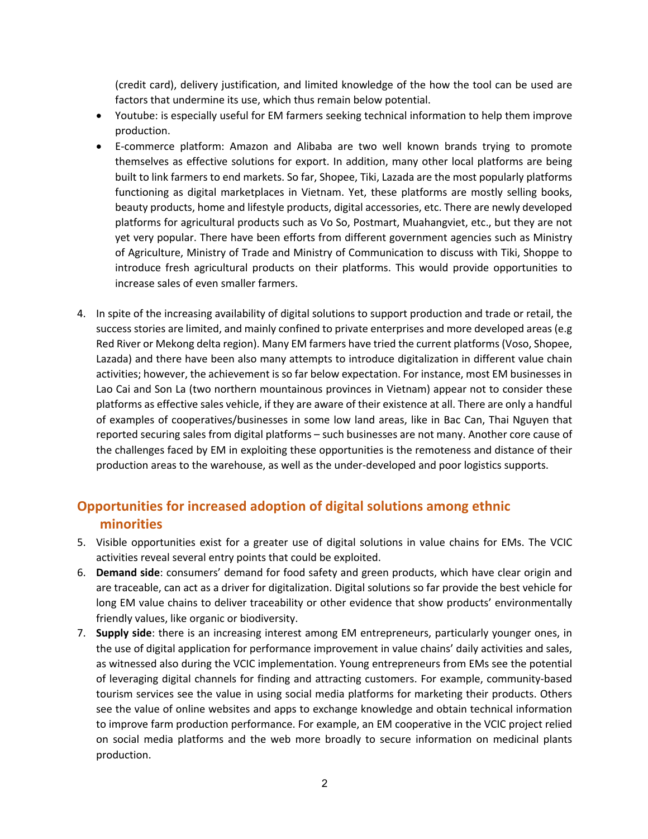(credit card), delivery justification, and limited knowledge of the how the tool can be used are factors that undermine its use, which thus remain below potential.

- Youtube: is especially useful for EM farmers seeking technical information to help them improve production.
- E-commerce platform: Amazon and Alibaba are two well known brands trying to promote themselves as effective solutions for export. In addition, many other local platforms are being built to link farmers to end markets. So far, Shopee, Tiki, Lazada are the most popularly platforms functioning as digital marketplaces in Vietnam. Yet, these platforms are mostly selling books, beauty products, home and lifestyle products, digital accessories, etc. There are newly developed platforms for agricultural products such as Vo So, Postmart, Muahangviet, etc., but they are not yet very popular. There have been efforts from different government agencies such as Ministry of Agriculture, Ministry of Trade and Ministry of Communication to discuss with Tiki, Shoppe to introduce fresh agricultural products on their platforms. This would provide opportunities to increase sales of even smaller farmers.
- 4. In spite of the increasing availability of digital solutions to support production and trade or retail, the success stories are limited, and mainly confined to private enterprises and more developed areas (e.g Red River or Mekong delta region). Many EM farmers have tried the current platforms (Voso, Shopee, Lazada) and there have been also many attempts to introduce digitalization in different value chain activities; however, the achievement is so far below expectation. For instance, most EM businesses in Lao Cai and Son La (two northern mountainous provinces in Vietnam) appear not to consider these platforms as effective sales vehicle, if they are aware of their existence at all. There are only a handful of examples of cooperatives/businesses in some low land areas, like in Bac Can, Thai Nguyen that reported securing sales from digital platforms – such businesses are not many. Another core cause of the challenges faced by EM in exploiting these opportunities is the remoteness and distance of their production areas to the warehouse, as well as the under-developed and poor logistics supports.

## **Opportunities for increased adoption of digital solutions among ethnic minorities**

- 5. Visible opportunities exist for a greater use of digital solutions in value chains for EMs. The VCIC activities reveal several entry points that could be exploited.
- 6. **Demand side**: consumers' demand for food safety and green products, which have clear origin and are traceable, can act as a driver for digitalization. Digital solutions so far provide the best vehicle for long EM value chains to deliver traceability or other evidence that show products' environmentally friendly values, like organic or biodiversity.
- 7. **Supply side**: there is an increasing interest among EM entrepreneurs, particularly younger ones, in the use of digital application for performance improvement in value chains' daily activities and sales, as witnessed also during the VCIC implementation. Young entrepreneurs from EMs see the potential of leveraging digital channels for finding and attracting customers. For example, community-based tourism services see the value in using social media platforms for marketing their products. Others see the value of online websites and apps to exchange knowledge and obtain technical information to improve farm production performance. For example, an EM cooperative in the VCIC project relied on social media platforms and the web more broadly to secure information on medicinal plants production.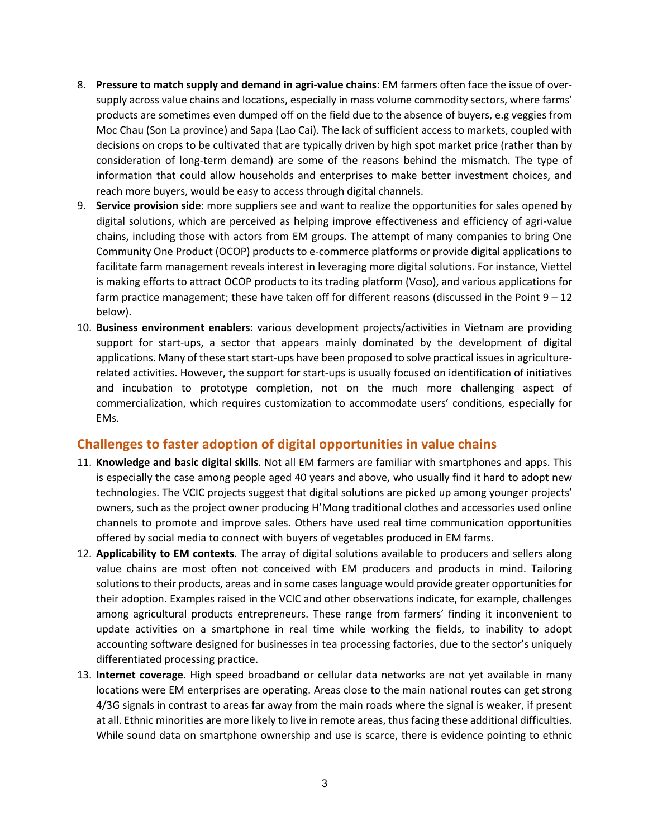- 8. **Pressure to match supply and demand in agri-value chains**: EM farmers often face the issue of oversupply across value chains and locations, especially in mass volume commodity sectors, where farms' products are sometimes even dumped off on the field due to the absence of buyers, e.g veggies from Moc Chau (Son La province) and Sapa (Lao Cai). The lack of sufficient access to markets, coupled with decisions on crops to be cultivated that are typically driven by high spot market price (rather than by consideration of long-term demand) are some of the reasons behind the mismatch. The type of information that could allow households and enterprises to make better investment choices, and reach more buyers, would be easy to access through digital channels.
- 9. **Service provision side**: more suppliers see and want to realize the opportunities for sales opened by digital solutions, which are perceived as helping improve effectiveness and efficiency of agri-value chains, including those with actors from EM groups. The attempt of many companies to bring One Community One Product (OCOP) products to e-commerce platforms or provide digital applications to facilitate farm management reveals interest in leveraging more digital solutions. For instance, Viettel is making efforts to attract OCOP products to its trading platform (Voso), and various applications for farm practice management; these have taken off for different reasons (discussed in the Point 9 – 12 below).
- 10. **Business environment enablers**: various development projects/activities in Vietnam are providing support for start-ups, a sector that appears mainly dominated by the development of digital applications. Many of these start start-ups have been proposed to solve practical issues in agriculturerelated activities. However, the support for start-ups is usually focused on identification of initiatives and incubation to prototype completion, not on the much more challenging aspect of commercialization, which requires customization to accommodate users' conditions, especially for EMs.

#### **Challenges to faster adoption of digital opportunities in value chains**

- 11. **Knowledge and basic digital skills**. Not all EM farmers are familiar with smartphones and apps. This is especially the case among people aged 40 years and above, who usually find it hard to adopt new technologies. The VCIC projects suggest that digital solutions are picked up among younger projects' owners, such as the project owner producing H'Mong traditional clothes and accessories used online channels to promote and improve sales. Others have used real time communication opportunities offered by social media to connect with buyers of vegetables produced in EM farms.
- 12. **Applicability to EM contexts**. The array of digital solutions available to producers and sellers along value chains are most often not conceived with EM producers and products in mind. Tailoring solutions to their products, areas and in some cases language would provide greater opportunities for their adoption. Examples raised in the VCIC and other observations indicate, for example, challenges among agricultural products entrepreneurs. These range from farmers' finding it inconvenient to update activities on a smartphone in real time while working the fields, to inability to adopt accounting software designed for businesses in tea processing factories, due to the sector's uniquely differentiated processing practice.
- 13. **Internet coverage**. High speed broadband or cellular data networks are not yet available in many locations were EM enterprises are operating. Areas close to the main national routes can get strong 4/3G signals in contrast to areas far away from the main roads where the signal is weaker, if present at all. Ethnic minorities are more likely to live in remote areas, thus facing these additional difficulties. While sound data on smartphone ownership and use is scarce, there is evidence pointing to ethnic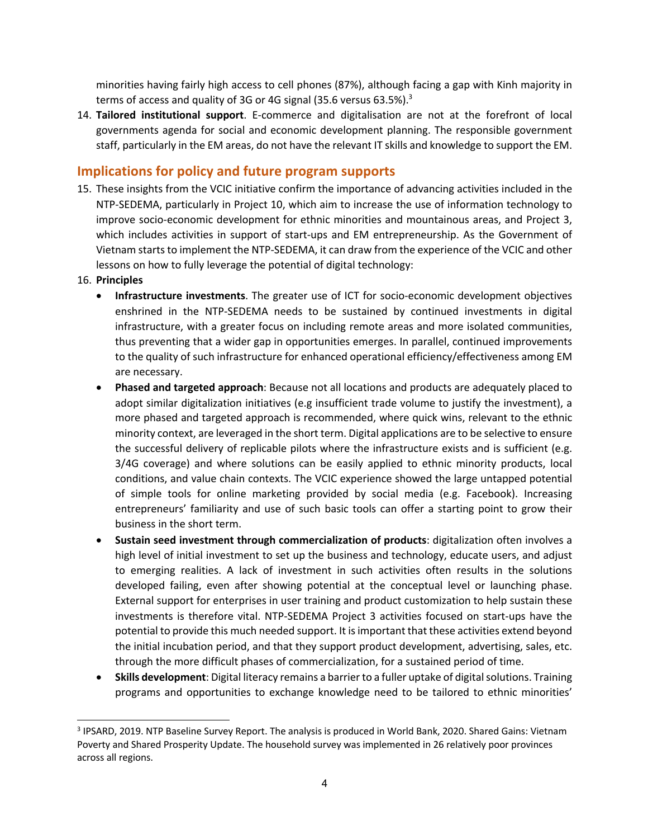minorities having fairly high access to cell phones (87%), although facing a gap with Kinh majority in terms of access and quality of 3G or 4G signal (35.6 versus 63.5%).<sup>3</sup>

14. **Tailored institutional support**. E-commerce and digitalisation are not at the forefront of local governments agenda for social and economic development planning. The responsible government staff, particularly in the EM areas, do not have the relevant IT skills and knowledge to support the EM.

#### **Implications for policy and future program supports**

- 15. These insights from the VCIC initiative confirm the importance of advancing activities included in the NTP-SEDEMA, particularly in Project 10, which aim to increase the use of information technology to improve socio-economic development for ethnic minorities and mountainous areas, and Project 3, which includes activities in support of start-ups and EM entrepreneurship. As the Government of Vietnam starts to implement the NTP-SEDEMA, it can draw from the experience of the VCIC and other lessons on how to fully leverage the potential of digital technology:
- 16. **Principles**
	- **Infrastructure investments**. The greater use of ICT for socio-economic development objectives enshrined in the NTP-SEDEMA needs to be sustained by continued investments in digital infrastructure, with a greater focus on including remote areas and more isolated communities, thus preventing that a wider gap in opportunities emerges. In parallel, continued improvements to the quality of such infrastructure for enhanced operational efficiency/effectiveness among EM are necessary.
	- **Phased and targeted approach**: Because not all locations and products are adequately placed to adopt similar digitalization initiatives (e.g insufficient trade volume to justify the investment), a more phased and targeted approach is recommended, where quick wins, relevant to the ethnic minority context, are leveraged in the short term. Digital applications are to be selective to ensure the successful delivery of replicable pilots where the infrastructure exists and is sufficient (e.g. 3/4G coverage) and where solutions can be easily applied to ethnic minority products, local conditions, and value chain contexts. The VCIC experience showed the large untapped potential of simple tools for online marketing provided by social media (e.g. Facebook). Increasing entrepreneurs' familiarity and use of such basic tools can offer a starting point to grow their business in the short term.
	- **Sustain seed investment through commercialization of products**: digitalization often involves a high level of initial investment to set up the business and technology, educate users, and adjust to emerging realities. A lack of investment in such activities often results in the solutions developed failing, even after showing potential at the conceptual level or launching phase. External support for enterprises in user training and product customization to help sustain these investments is therefore vital. NTP-SEDEMA Project 3 activities focused on start-ups have the potential to provide this much needed support. It is important that these activities extend beyond the initial incubation period, and that they support product development, advertising, sales, etc. through the more difficult phases of commercialization, for a sustained period of time.
	- **Skills development**: Digital literacy remains a barrier to a fuller uptake of digital solutions. Training programs and opportunities to exchange knowledge need to be tailored to ethnic minorities'

<sup>3</sup> IPSARD, 2019. NTP Baseline Survey Report. The analysis is produced in World Bank, 2020. Shared Gains: Vietnam Poverty and Shared Prosperity Update. The household survey was implemented in 26 relatively poor provinces across all regions.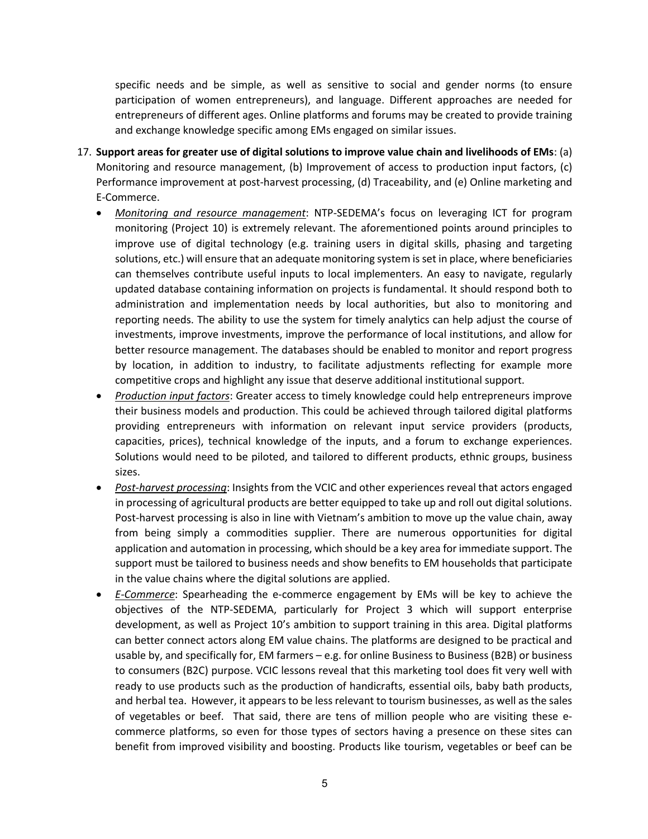specific needs and be simple, as well as sensitive to social and gender norms (to ensure participation of women entrepreneurs), and language. Different approaches are needed for entrepreneurs of different ages. Online platforms and forums may be created to provide training and exchange knowledge specific among EMs engaged on similar issues.

- 17. **Support areas for greater use of digital solutions to improve value chain and livelihoods of EMs**: (a) Monitoring and resource management, (b) Improvement of access to production input factors, (c) Performance improvement at post-harvest processing, (d) Traceability, and (e) Online marketing and E-Commerce.
	- *Monitoring and resource management*: NTP-SEDEMA's focus on leveraging ICT for program monitoring (Project 10) is extremely relevant. The aforementioned points around principles to improve use of digital technology (e.g. training users in digital skills, phasing and targeting solutions, etc.) will ensure that an adequate monitoring system is set in place, where beneficiaries can themselves contribute useful inputs to local implementers. An easy to navigate, regularly updated database containing information on projects is fundamental. It should respond both to administration and implementation needs by local authorities, but also to monitoring and reporting needs. The ability to use the system for timely analytics can help adjust the course of investments, improve investments, improve the performance of local institutions, and allow for better resource management. The databases should be enabled to monitor and report progress by location, in addition to industry, to facilitate adjustments reflecting for example more competitive crops and highlight any issue that deserve additional institutional support.
	- *Production input factors*: Greater access to timely knowledge could help entrepreneurs improve their business models and production. This could be achieved through tailored digital platforms providing entrepreneurs with information on relevant input service providers (products, capacities, prices), technical knowledge of the inputs, and a forum to exchange experiences. Solutions would need to be piloted, and tailored to different products, ethnic groups, business sizes.
	- *Post-harvest processing*: Insights from the VCIC and other experiences reveal that actors engaged in processing of agricultural products are better equipped to take up and roll out digital solutions. Post-harvest processing is also in line with Vietnam's ambition to move up the value chain, away from being simply a commodities supplier. There are numerous opportunities for digital application and automation in processing, which should be a key area for immediate support. The support must be tailored to business needs and show benefits to EM households that participate in the value chains where the digital solutions are applied.
	- *E-Commerce*: Spearheading the e-commerce engagement by EMs will be key to achieve the objectives of the NTP-SEDEMA, particularly for Project 3 which will support enterprise development, as well as Project 10's ambition to support training in this area. Digital platforms can better connect actors along EM value chains. The platforms are designed to be practical and usable by, and specifically for, EM farmers – e.g. for online Business to Business (B2B) or business to consumers (B2C) purpose. VCIC lessons reveal that this marketing tool does fit very well with ready to use products such as the production of handicrafts, essential oils, baby bath products, and herbal tea. However, it appears to be less relevant to tourism businesses, as well as the sales of vegetables or beef. That said, there are tens of million people who are visiting these ecommerce platforms, so even for those types of sectors having a presence on these sites can benefit from improved visibility and boosting. Products like tourism, vegetables or beef can be